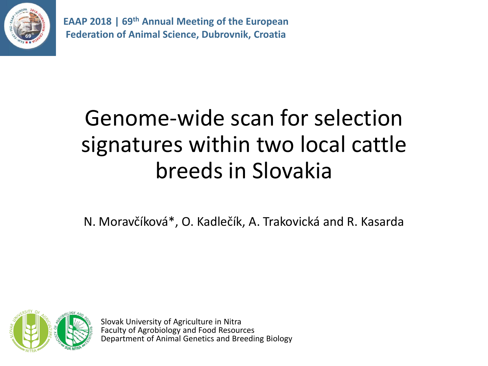

# Genome-wide scan for selection signatures within two local cattle breeds in Slovakia

N. Moravčíková\*, O. Kadlečík, A. Trakovická and R. Kasarda



Slovak University of Agriculture in Nitra Faculty of Agrobiology and Food Resources Department of Animal Genetics and Breeding Biology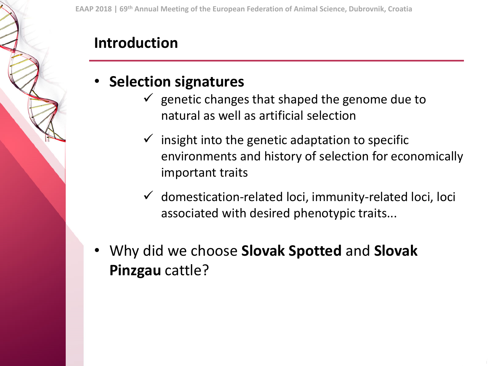#### **Introduction**

#### • **Selection signatures**

- $\checkmark$  genetic changes that shaped the genome due to natural as well as artificial selection
- insight into the genetic adaptation to specific environments and history of selection for economically important traits
- $\checkmark$  domestication-related loci, immunity-related loci, loci associated with desired phenotypic traits...
- Why did we choose **Slovak Spotted** and **Slovak Pinzgau** cattle?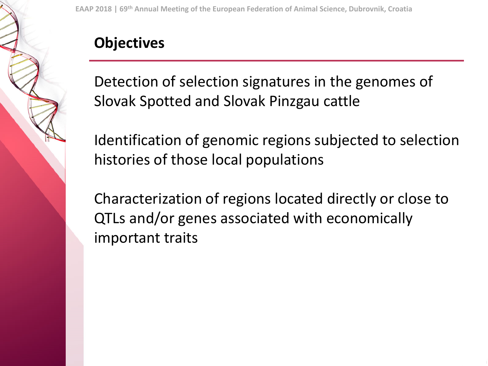#### **Objectives**

Detection of selection signatures in the genomes of Slovak Spotted and Slovak Pinzgau cattle

Identification of genomic regions subjected to selection histories of those local populations

Characterization of regions located directly or close to QTLs and/or genes associated with economically important traits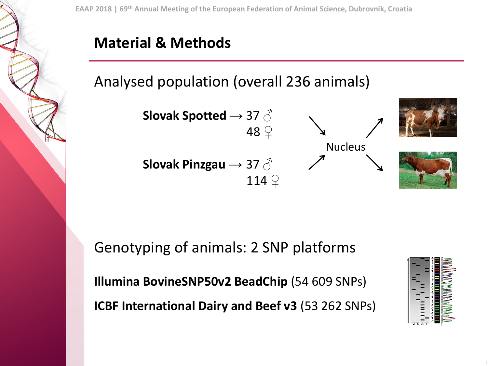#### **Material & Methods**

Analysed population (overall 236 animals)



Genotyping of animals: 2 SNP platforms **Illumina BovineSNP50v2 BeadChip** (54 609 SNPs) **ICBF International Dairy and Beef v3** (53 262 SNPs)

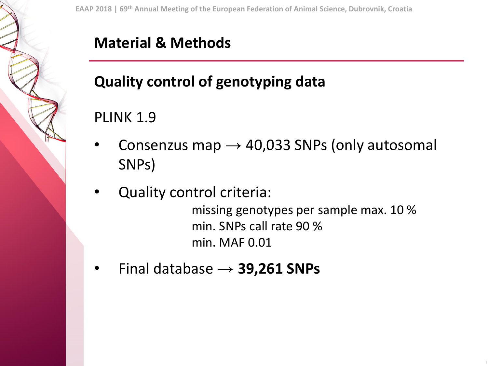## **Quality control of genotyping data**

#### PLINK 1.9

- Consenzus map  $\rightarrow$  40,033 SNPs (only autosomal SNPs)
- Quality control criteria:

missing genotypes per sample max. 10 % min. SNPs call rate 90 % min. MAF 0.01

• Final database → **39,261 SNPs**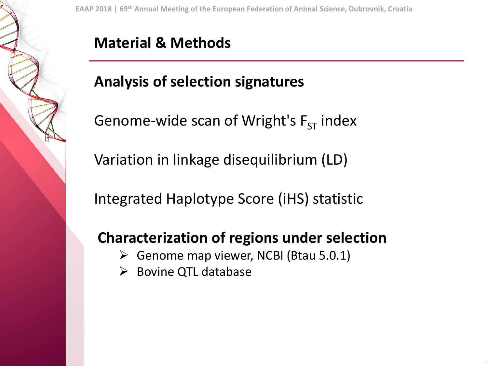#### **Material & Methods**

## **Analysis of selection signatures**

Genome-wide scan of Wright's  $F_{ST}$  index

Variation in linkage disequilibrium (LD)

Integrated Haplotype Score (iHS) statistic

#### **Characterization of regions under selection**

- $\triangleright$  Genome map viewer, NCBI (Btau 5.0.1)
- $\triangleright$  Bovine QTL database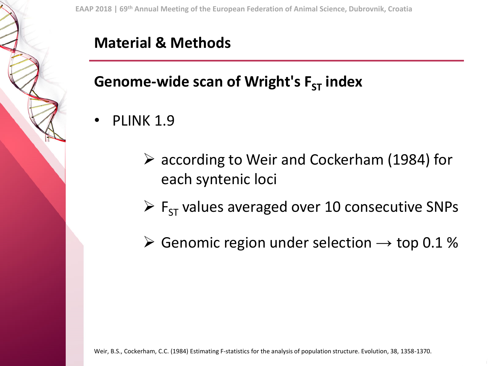#### **Genome-wide scan of Wright's F<sub>ST</sub> index**

- PLINK 1.9
	- ➢ according to Weir and Cockerham (1984) for each syntenic loci
	- $\triangleright$  F<sub>ST</sub> values averaged over 10 consecutive SNPs
	- $\triangleright$  Genomic region under selection  $\rightarrow$  top 0.1 %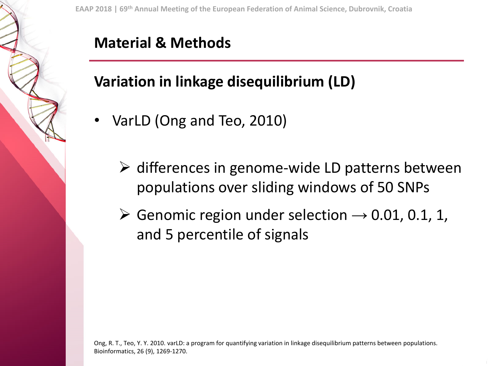#### **Variation in linkage disequilibrium (LD)**

- VarLD (Ong and Teo, 2010)
	- $\triangleright$  differences in genome-wide LD patterns between populations over sliding windows of 50 SNPs
	- $\triangleright$  Genomic region under selection  $\rightarrow$  0.01, 0.1, 1, and 5 percentile of signals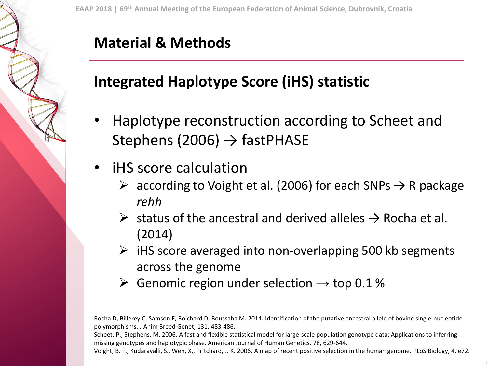#### **Integrated Haplotype Score (iHS) statistic**

- Haplotype reconstruction according to Scheet and Stephens (2006)  $\rightarrow$  fastPHASE
- iHS score calculation
	- $\triangleright$  according to Voight et al. (2006) for each SNPs  $\rightarrow$  R package *rehh*
	- $\triangleright$  status of the ancestral and derived alleles  $\rightarrow$  Rocha et al. (2014)
	- $\triangleright$  iHS score averaged into non-overlapping 500 kb segments across the genome
	- $\triangleright$  Genomic region under selection  $\rightarrow$  top 0.1 %

Rocha D, Billerey C, Samson F, Boichard D, Boussaha M. 2014. Identification of the putative ancestral allele of bovine single-nucleotide polymorphisms. J Anim Breed Genet, 131, 483-486.

Scheet, P., Stephens, M. 2006. A fast and flexible statistical model for large-scale population genotype data: Applications to inferring missing genotypes and haplotypic phase. American Journal of Human Genetics, 78, 629-644.

Voight, B. F., Kudaravalli, S., Wen, X., Pritchard, J. K. 2006. A map of recent positive selection in the human genome. PLoS Biology, 4, e72.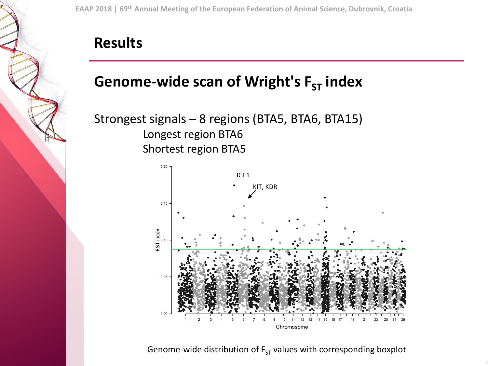#### **Results**

#### **Genome-wide scan of Wright's F<sub>ST</sub> index**

Strongest signals – 8 regions (BTA5, BTA6, BTA15) Longest region BTA6 Shortest region BTA5



Genome-wide distribution of  $F_{ST}$  values with corresponding boxplot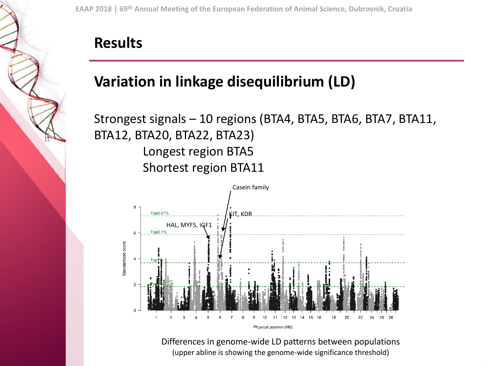#### **Results**

#### **Variation in linkage disequilibrium (LD)**

#### Strongest signals – 10 regions (BTA4, BTA5, BTA6, BTA7, BTA11, BTA12, BTA20, BTA22, BTA23) Longest region BTA5 Shortest region BTA11



Differences in genome-wide LD patterns between populations (upper abline is showing the genome-wide significance threshold)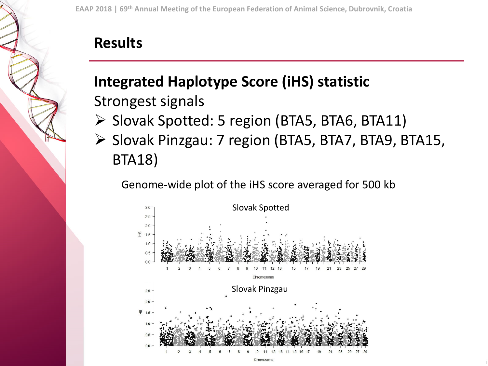#### **Results**

## **Integrated Haplotype Score (iHS) statistic**  Strongest signals

- ➢ Slovak Spotted: 5 region (BTA5, BTA6, BTA11)
- ➢ Slovak Pinzgau: 7 region (BTA5, BTA7, BTA9, BTA15, BTA18)

Genome-wide plot of the iHS score averaged for 500 kb

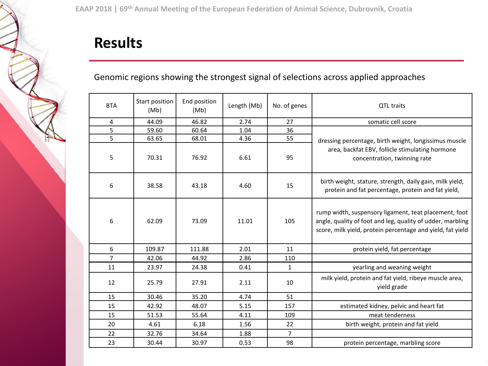#### **Results**

#### Genomic regions showing the strongest signal of selections across applied approaches

| <b>BTA</b>     | Start position<br>(Mb) | End position<br>(Mb) | Length (Mb) | No. of genes   | QTL traits                                                                                                                                                                        |
|----------------|------------------------|----------------------|-------------|----------------|-----------------------------------------------------------------------------------------------------------------------------------------------------------------------------------|
| 4              | 44.09                  | 46.82                | 2.74        | 27             | somatic cell score                                                                                                                                                                |
| 5              | 59.60                  | 60.64                | 1.04        | 36             |                                                                                                                                                                                   |
| 5              | 63.65                  | 68.01                | 4.36        | 55             | dressing percentage, birth weight, longissimus muscle<br>area, backfat EBV, follicle stimulating hormone<br>concentration, twinning rate                                          |
| 5              | 70.31                  | 76.92                | 6.61        | 95             |                                                                                                                                                                                   |
| 6              | 38.58                  | 43.18                | 4.60        | 15             | birth weight, stature, strength, daily gain, milk yield,<br>protein and fat percentage, protein and fat yield,                                                                    |
| 6              | 62.09                  | 73.09                | 11.01       | 105            | rump width, suspensory ligament, teat placement, foot<br>angle, quality of foot and leg, quality of udder, marbling<br>score, milk yield, protein percentage and yield, fat yield |
| 6              | 109.87                 | 111.88               | 2.01        | 11             | protein yield, fat percentage                                                                                                                                                     |
| $\overline{7}$ | 42.06                  | 44.92                | 2.86        | 110            |                                                                                                                                                                                   |
| 11             | 23.97                  | 24.38                | 0.41        | $\mathbf{1}$   | yearling and weaning weight                                                                                                                                                       |
| 12             | 25.79                  | 27.91                | 2.11        | 10             | milk yield, protein and fat yield, ribeye muscle area,<br>yield grade                                                                                                             |
| 15             | 30.46                  | 35.20                | 4.74        | 51             |                                                                                                                                                                                   |
| 15             | 42.92                  | 48.07                | 5.15        | 157            | estimated kidney, pelvic and heart fat                                                                                                                                            |
| 15             | 51.53                  | 55.64                | 4.11        | 109            | meat tenderness                                                                                                                                                                   |
| 20             | 4.61                   | 6.18                 | 1.56        | 22             | birth weight, protein and fat yield                                                                                                                                               |
| 22             | 32.76                  | 34.64                | 1.88        | $\overline{7}$ |                                                                                                                                                                                   |
| 23             | 30.44                  | 30.97                | 0.53        | 98             | protein percentage, marbling score                                                                                                                                                |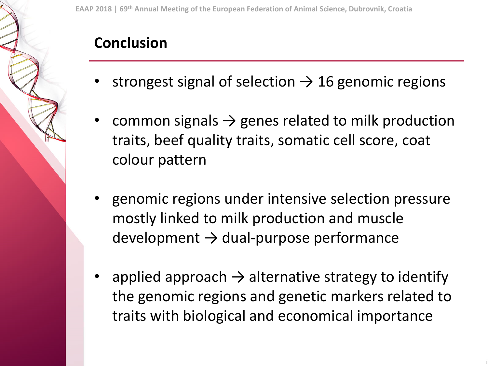#### **Conclusion**

- strongest signal of selection  $\rightarrow$  16 genomic regions
- common signals  $\rightarrow$  genes related to milk production traits, beef quality traits, somatic cell score, coat colour pattern
- genomic regions under intensive selection pressure mostly linked to milk production and muscle  $d$ evelopment  $\rightarrow$  dual-purpose performance
- applied approach  $\rightarrow$  alternative strategy to identify the genomic regions and genetic markers related to traits with biological and economical importance